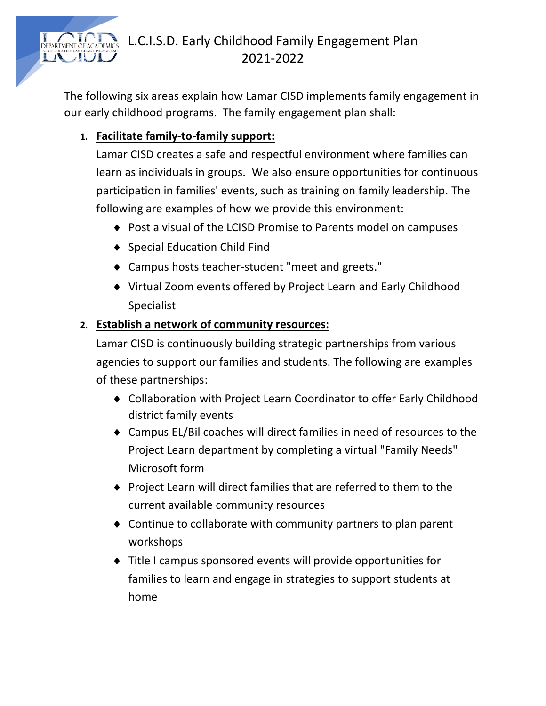

# L.C.I.S.D. Early Childhood Family Engagement Plan 2021-2022

The following six areas explain how Lamar CISD implements family engagement in our early childhood programs. The family engagement plan shall:

## **1. Facilitate family-to-family support:**

Lamar CISD creates a safe and respectful environment where families can learn as individuals in groups. We also ensure opportunities for continuous participation in families' events, such as training on family leadership. The following are examples of how we provide this environment:

- ◆ Post a visual of the LCISD Promise to Parents model on campuses
- ◆ Special Education Child Find
- Campus hosts teacher-student "meet and greets."
- Virtual Zoom events offered by Project Learn and Early Childhood Specialist

## **2. Establish a network of community resources:**

Lamar CISD is continuously building strategic partnerships from various agencies to support our families and students. The following are examples of these partnerships:

- Collaboration with Project Learn Coordinator to offer Early Childhood district family events
- Campus EL/Bil coaches will direct families in need of resources to the Project Learn department by completing a virtual "Family Needs" Microsoft form
- Project Learn will direct families that are referred to them to the current available community resources
- Continue to collaborate with community partners to plan parent workshops
- Title I campus sponsored events will provide opportunities for families to learn and engage in strategies to support students at home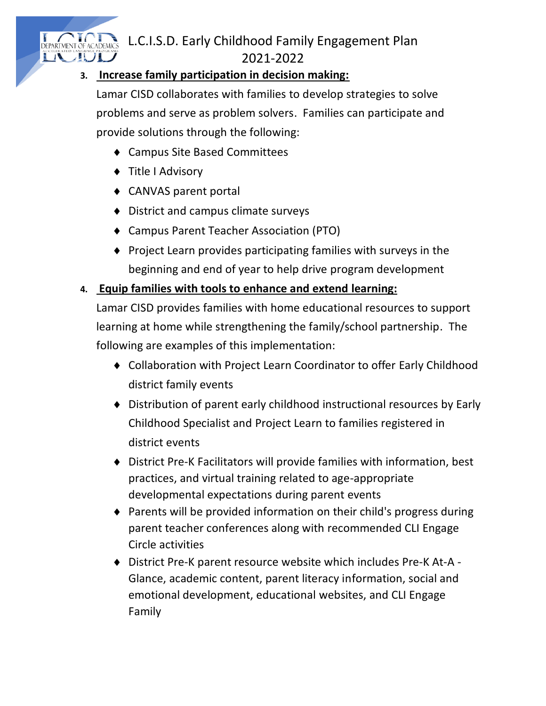## L.C.I.S.D. Early Childhood Family Engagement Plan 2021-2022

#### **3. Increase family participation in decision making:**

Lamar CISD collaborates with families to develop strategies to solve problems and serve as problem solvers. Families can participate and provide solutions through the following:

- Campus Site Based Committees
- ◆ Title I Advisory

NT OT DEPARTMENT OF ACADEMIC:

- CANVAS parent portal
- ◆ District and campus climate surveys
- Campus Parent Teacher Association (PTO)
- $\bullet$  Project Learn provides participating families with surveys in the beginning and end of year to help drive program development

#### **4. Equip families with tools to enhance and extend learning:**

Lamar CISD provides families with home educational resources to support learning at home while strengthening the family/school partnership. The following are examples of this implementation:

- Collaboration with Project Learn Coordinator to offer Early Childhood district family events
- Distribution of parent early childhood instructional resources by Early Childhood Specialist and Project Learn to families registered in district events
- District Pre-K Facilitators will provide families with information, best practices, and virtual training related to age-appropriate developmental expectations during parent events
- Parents will be provided information on their child's progress during parent teacher conferences along with recommended CLI Engage Circle activities
- District Pre-K parent resource website which includes Pre-K At-A Glance, academic content, parent literacy information, social and emotional development, educational websites, and CLI Engage Family